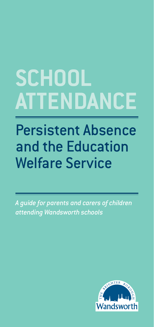# **SCHOOL ATTENDANCE**

## Persistent Absence and the Education Welfare Service

*A guide for parents and carers of children attending Wandsworth schools*

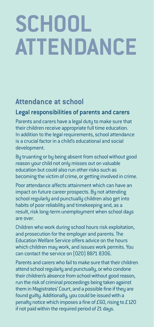# **SCHOOL ATTENDANCE**

#### **Attendance at school**

#### Legal responsibilities of parents and carers

Parents and carers have a legal duty to make sure that their children receive appropriate full time education. In addition to the legal requirements, school attendance is a crucial factor in a child's educational and social development.

By truanting or by being absent from school without good reason your child not only misses out on valuable education but could also run other risks such as becoming the victim of crime, or getting involved in crime.

Poor attendance affects attainment which can have an impact on future career prospects. By not attending school regularly and punctually children also get into habits of poor reliability and timekeeping and, as a result, risk long-term unemployment when school days are over.

Children who work during school hours risk exploitation, and prosecution for the employer and parents. The Education Welfare Service offers advice on the hours which children may work, and issues work permits. You can contact the service on (020) 8871 8306.

Parents and carers who fail to make sure that their children attend school regularly and punctually, or who condone their children's absence from school without good reason, run the risk of criminal proceedings being taken against them in Magistrates' Court, and a possible fine if they are found guilty. Additionally, you could be issued with a penalty notice which imposes a fine of £60, rising to £120 if not paid within the required period of 21 days.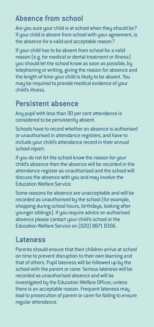#### **Absence from school**

Are you sure your child is at school when they should be? If your child is absent from school with your agreement, is the absence for a valid and acceptable reason?

If your child has to be absent from school for a valid reason (e.g. for medical or dental treatment or illness) you should let the school know as soon as possible, by telephoning or writing, giving the reason for absence and the length of time your child is likely to be absent. You may be required to provide medical evidence of your child's illness.

#### **Persistent absence**

Any pupil with less than 90 per cent attendance is considered to be persistently absent.

Schools have to record whether an absence is authorised or unauthorised in attendance registers, and have to include your child's attendance record in their annual school report.

If you do not let the school know the reason for your child's absence then the absence will be recorded in the attendance register as unauthorised and the school will discuss the absence with you and may involve the Education Welfare Service.

Some reasons for absence are unacceptable and will be recorded as unauthorised by the school (for example, shopping during school hours, birthdays, looking after younger siblings). If you require advice on authorised absence please contact your child's school or the Education Welfare Service on (020) 8871 8306.

#### **Lateness**

Parents should ensure that their children arrive at school on time to prevent disruption to their own learning and that of others. Pupil lateness will be followed up by the school with the parent or carer. Serious lateness will be recorded as unauthorised absence and will be investigated by the Education Welfare Officer, unless there is an acceptable reason. Frequent lateness may lead to prosecution of parent or carer for failing to ensure regular attendance.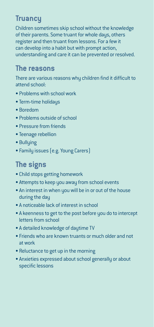#### **Truancy**

Children sometimes skip school without the knowledge of their parents. Some truant for whole days, others register and then truant from lessons. For a few it can develop into a habit but with prompt action, understanding and care it can be prevented or resolved.

#### **The reasons**

There are various reasons why children find it difficult to attend school:

- Problems with school work
- Term-time holidaus
- Boredom
- Problems outside of school
- Pressure from friends
- Teenage rebellion
- Bullying
- Family issues (e.g. Young Carers)

### **The signs**

- Child stops getting homework
- Attempts to keep you away from school events
- An interest in when you will be in or out of the house during the day
- A noticeable lack of interest in school
- A keenness to get to the post before you do to intercept letters from school
- A detailed knowledge of daytime TV
- Friends who are known truants or much older and not at work
- Reluctance to get up in the morning
- Anxieties expressed about school generally or about specific lessons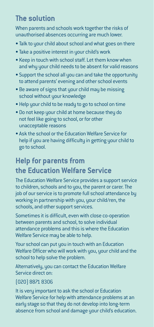#### **The solution**

When parents and schools work together the risks of unauthorised absences occurring are much lower.

- Talk to your child about school and what goes on there
- Take a positive interest in your child's work
- Keep in touch with school staff. Let them know when and why your child needs to be absent for valid reasons
- Support the school all you can and take the opportunity to attend parents' evening and other school events
- Be aware of signs that your child may be missing school without your knowledge
- Help your child to be ready to go to school on time
- Do not keep your child at home because they do not feel like going to school, or for other unacceptable reasons
- Ask the school or the Education Welfare Service for help if you are having difficulty in getting your child to go to school.

### **Help for parents from the Education Welfare Service**

The Education Welfare Service provides a support service to children, schools and to you, the parent or carer. The job of our service is to promote full school attendance by working in partnership with you, your child/ren, the schools, and other support services.

Sometimes it is difficult, even with close co-operation between parents and school, to solve individual attendance problems and this is where the Education Welfare Service may be able to help.

Your school can put you in touch with an Education Welfare Officer who will work with you, your child and the school to help solve the problem.

Alternatively, you can contact the Education Welfare Service direct on:

#### (020) 8871 8306

It is very important to ask the school or Education Welfare Service for help with attendance problems at an early stage so that they do not develop into long-term absence from school and damage your child's education.